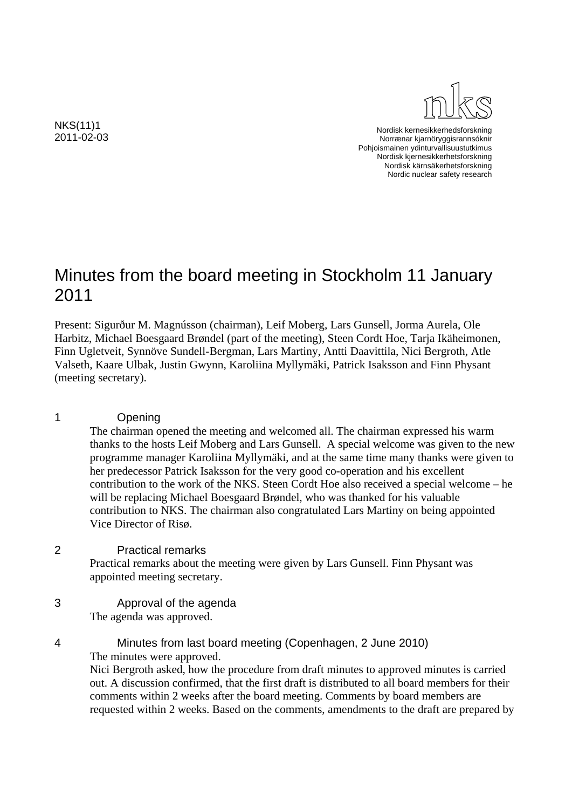NKS(11)1 2011-02-03



Nordisk kernesikkerhedsforskning Norrænar kjarnöryggisrannsóknir Pohjoismainen ydinturvallisuustutkimus Nordisk kjernesikkerhetsforskning Nordisk kärnsäkerhetsforskning Nordic nuclear safety research

# Minutes from the board meeting in Stockholm 11 January 2011

Present: Sigurður M. Magnússon (chairman), Leif Moberg, Lars Gunsell, Jorma Aurela, Ole Harbitz, Michael Boesgaard Brøndel (part of the meeting), Steen Cordt Hoe, Tarja Ikäheimonen, Finn Ugletveit, Synnöve Sundell-Bergman, Lars Martiny, Antti Daavittila, Nici Bergroth, Atle Valseth, Kaare Ulbak, Justin Gwynn, Karoliina Myllymäki, Patrick Isaksson and Finn Physant (meeting secretary).

### 1 Opening

The chairman opened the meeting and welcomed all. The chairman expressed his warm thanks to the hosts Leif Moberg and Lars Gunsell. A special welcome was given to the new programme manager Karoliina Myllymäki, and at the same time many thanks were given to her predecessor Patrick Isaksson for the very good co-operation and his excellent contribution to the work of the NKS. Steen Cordt Hoe also received a special welcome – he will be replacing Michael Boesgaard Brøndel, who was thanked for his valuable contribution to NKS. The chairman also congratulated Lars Martiny on being appointed Vice Director of Risø.

#### 2 Practical remarks

Practical remarks about the meeting were given by Lars Gunsell. Finn Physant was appointed meeting secretary.

#### 3 Approval of the agenda The agenda was approved.

#### 4 Minutes from last board meeting (Copenhagen, 2 June 2010) The minutes were approved. Nici Bergroth asked, how the procedure from draft minutes to approved minutes is carried out. A discussion confirmed, that the first draft is distributed to all board members for their comments within 2 weeks after the board meeting. Comments by board members are requested within 2 weeks. Based on the comments, amendments to the draft are prepared by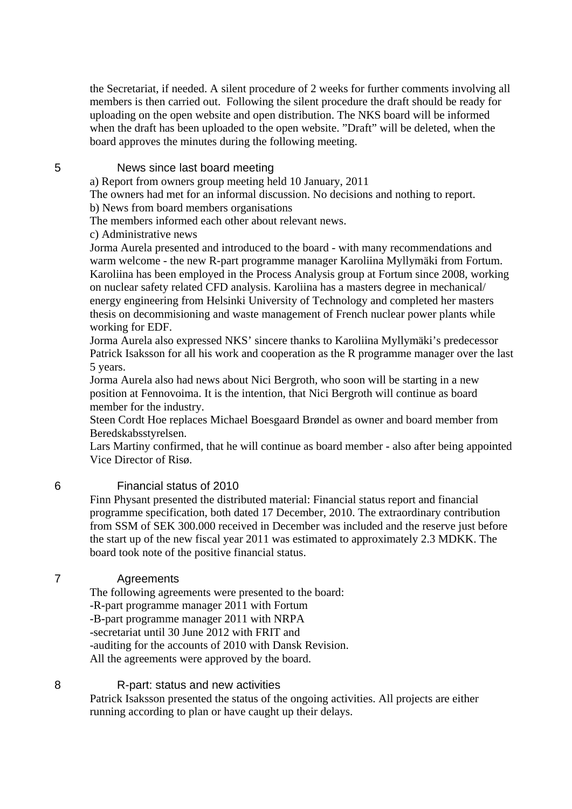the Secretariat, if needed. A silent procedure of 2 weeks for further comments involving all members is then carried out. Following the silent procedure the draft should be ready for uploading on the open website and open distribution. The NKS board will be informed when the draft has been uploaded to the open website. "Draft" will be deleted, when the board approves the minutes during the following meeting.

#### 5 News since last board meeting

a) Report from owners group meeting held 10 January, 2011

The owners had met for an informal discussion. No decisions and nothing to report.

b) News from board members organisations

The members informed each other about relevant news.

c) Administrative news

Jorma Aurela presented and introduced to the board - with many recommendations and warm welcome - the new R-part programme manager Karoliina Myllymäki from Fortum. Karoliina has been employed in the Process Analysis group at Fortum since 2008, working on nuclear safety related CFD analysis. Karoliina has a masters degree in mechanical/ energy engineering from Helsinki University of Technology and completed her masters thesis on decommisioning and waste management of French nuclear power plants while working for EDF.

Jorma Aurela also expressed NKS' sincere thanks to Karoliina Myllymäki's predecessor Patrick Isaksson for all his work and cooperation as the R programme manager over the last 5 years.

Jorma Aurela also had news about Nici Bergroth, who soon will be starting in a new position at Fennovoima. It is the intention, that Nici Bergroth will continue as board member for the industry.

Steen Cordt Hoe replaces Michael Boesgaard Brøndel as owner and board member from Beredskabsstyrelsen.

Lars Martiny confirmed, that he will continue as board member - also after being appointed Vice Director of Risø.

#### 6 Financial status of 2010

Finn Physant presented the distributed material: Financial status report and financial programme specification, both dated 17 December, 2010. The extraordinary contribution from SSM of SEK 300.000 received in December was included and the reserve just before the start up of the new fiscal year 2011 was estimated to approximately 2.3 MDKK. The board took note of the positive financial status.

#### 7 Agreements

The following agreements were presented to the board: -R-part programme manager 2011 with Fortum -B-part programme manager 2011 with NRPA -secretariat until 30 June 2012 with FRIT and -auditing for the accounts of 2010 with Dansk Revision. All the agreements were approved by the board.

#### 8 R-part: status and new activities

Patrick Isaksson presented the status of the ongoing activities. All projects are either running according to plan or have caught up their delays.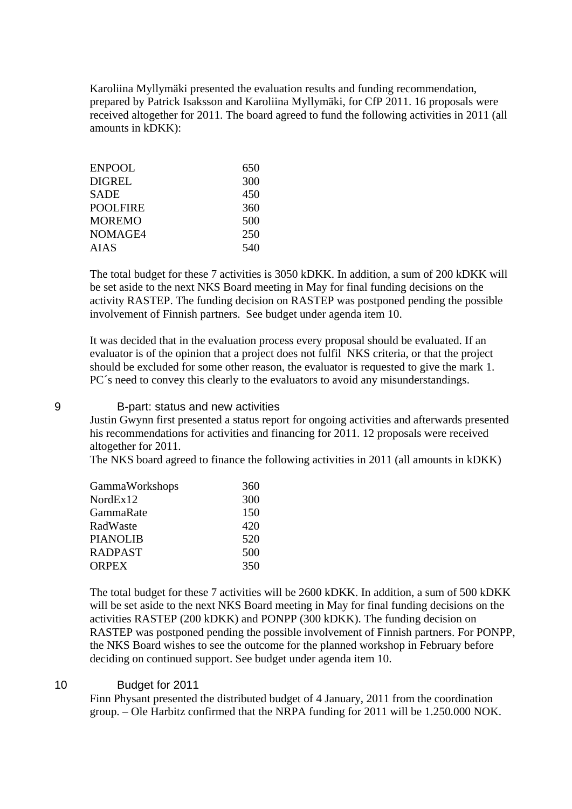Karoliina Myllymäki presented the evaluation results and funding recommendation, prepared by Patrick Isaksson and Karoliina Myllymäki, for CfP 2011. 16 proposals were received altogether for 2011. The board agreed to fund the following activities in 2011 (all amounts in kDKK):

| ENPOOL   | 650 |
|----------|-----|
| DIGREL   | 300 |
| SADE     | 450 |
| POOLFIRE | 360 |
| MOREMO   | 500 |
| NOMAGE4  | 250 |
| AIAS     | 540 |
|          |     |

The total budget for these 7 activities is 3050 kDKK. In addition, a sum of 200 kDKK will be set aside to the next NKS Board meeting in May for final funding decisions on the activity RASTEP. The funding decision on RASTEP was postponed pending the possible involvement of Finnish partners. See budget under agenda item 10.

It was decided that in the evaluation process every proposal should be evaluated. If an evaluator is of the opinion that a project does not fulfil NKS criteria, or that the project should be excluded for some other reason, the evaluator is requested to give the mark 1. PC<sup>'</sup>s need to convey this clearly to the evaluators to avoid any misunderstandings.

#### 9 B-part: status and new activities

Justin Gwynn first presented a status report for ongoing activities and afterwards presented his recommendations for activities and financing for 2011. 12 proposals were received altogether for 2011.

The NKS board agreed to finance the following activities in 2011 (all amounts in kDKK)

| GammaWorkshops | 360 |
|----------------|-----|
| NordEx12       | 300 |
| GammaRate      | 150 |
| RadWaste       | 420 |
| PIANOLIB       | 520 |
| <b>RADPAST</b> | 500 |
| <b>ORPEX</b>   | 350 |
|                |     |

The total budget for these 7 activities will be 2600 kDKK. In addition, a sum of 500 kDKK will be set aside to the next NKS Board meeting in May for final funding decisions on the activities RASTEP (200 kDKK) and PONPP (300 kDKK). The funding decision on RASTEP was postponed pending the possible involvement of Finnish partners. For PONPP, the NKS Board wishes to see the outcome for the planned workshop in February before deciding on continued support. See budget under agenda item 10.

#### 10 Budget for 2011

Finn Physant presented the distributed budget of 4 January, 2011 from the coordination group. – Ole Harbitz confirmed that the NRPA funding for 2011 will be 1.250.000 NOK.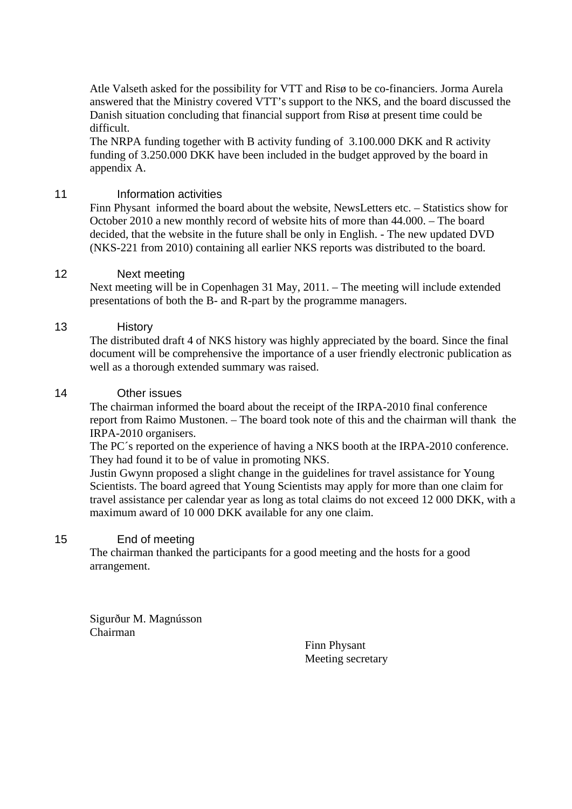Atle Valseth asked for the possibility for VTT and Risø to be co-financiers. Jorma Aurela answered that the Ministry covered VTT's support to the NKS, and the board discussed the Danish situation concluding that financial support from Risø at present time could be difficult.

The NRPA funding together with B activity funding of 3.100.000 DKK and R activity funding of 3.250.000 DKK have been included in the budget approved by the board in appendix A.

#### 11 **Information activities**

Finn Physant informed the board about the website, NewsLetters etc. – Statistics show for October 2010 a new monthly record of website hits of more than 44.000. – The board decided, that the website in the future shall be only in English. - The new updated DVD (NKS-221 from 2010) containing all earlier NKS reports was distributed to the board.

#### 12 Next meeting

Next meeting will be in Copenhagen 31 May, 2011. – The meeting will include extended presentations of both the B- and R-part by the programme managers.

#### 13 History

The distributed draft 4 of NKS history was highly appreciated by the board. Since the final document will be comprehensive the importance of a user friendly electronic publication as well as a thorough extended summary was raised.

#### 14 Other issues

The chairman informed the board about the receipt of the IRPA-2010 final conference report from Raimo Mustonen. – The board took note of this and the chairman will thank the IRPA-2010 organisers.

The PC´s reported on the experience of having a NKS booth at the IRPA-2010 conference. They had found it to be of value in promoting NKS.

Justin Gwynn proposed a slight change in the guidelines for travel assistance for Young Scientists. The board agreed that Young Scientists may apply for more than one claim for travel assistance per calendar year as long as total claims do not exceed 12 000 DKK, with a maximum award of 10 000 DKK available for any one claim.

#### 15 End of meeting

The chairman thanked the participants for a good meeting and the hosts for a good arrangement.

Sigurður M. Magnússon Chairman

Finn Physant Meeting secretary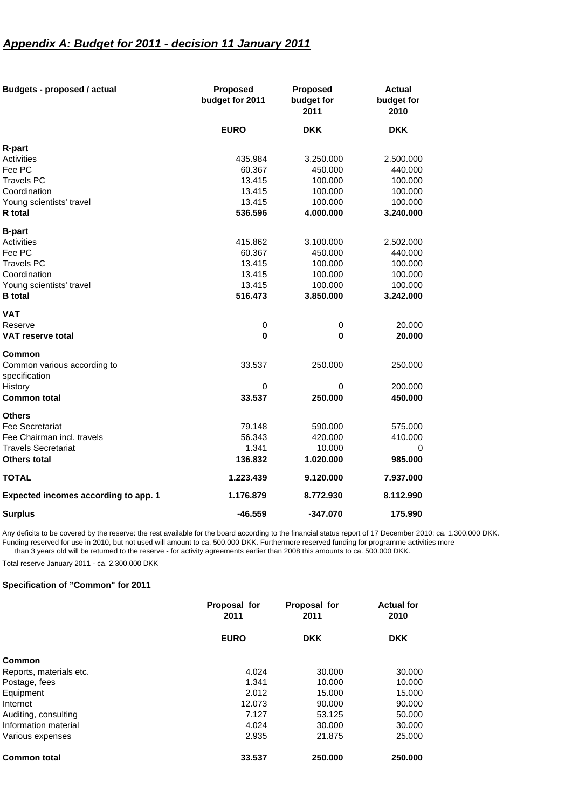# *Appendix A: Budget for 2011 - decision 11 January 2011*

| <b>Budgets - proposed / actual</b>           | <b>Proposed</b><br>budget for 2011 | <b>Proposed</b><br>budget for<br>2011 | <b>Actual</b><br>budget for<br>2010 |
|----------------------------------------------|------------------------------------|---------------------------------------|-------------------------------------|
|                                              | <b>EURO</b>                        | <b>DKK</b>                            | <b>DKK</b>                          |
| R-part                                       |                                    |                                       |                                     |
| Activities                                   | 435.984                            | 3.250.000                             | 2.500.000                           |
| Fee PC                                       | 60.367                             | 450.000                               | 440.000                             |
| <b>Travels PC</b>                            | 13.415                             | 100.000                               | 100.000                             |
| Coordination                                 | 13.415                             | 100.000                               | 100.000                             |
| Young scientists' travel                     | 13.415                             | 100.000                               | 100.000                             |
| R total                                      | 536.596                            | 4.000.000                             | 3.240.000                           |
| <b>B-part</b>                                |                                    |                                       |                                     |
| <b>Activities</b>                            | 415.862                            | 3.100.000                             | 2.502.000                           |
| Fee PC                                       | 60.367                             | 450.000                               | 440.000                             |
| <b>Travels PC</b>                            | 13.415                             | 100.000                               | 100.000                             |
| Coordination                                 | 13.415                             | 100.000                               | 100.000                             |
| Young scientists' travel                     | 13.415                             | 100.000                               | 100.000                             |
| <b>B</b> total                               | 516.473                            | 3.850.000                             | 3.242.000                           |
| <b>VAT</b>                                   |                                    |                                       |                                     |
| Reserve                                      | 0                                  | 0                                     | 20.000                              |
| <b>VAT reserve total</b>                     | $\bf{0}$                           | 0                                     | 20.000                              |
| <b>Common</b>                                |                                    |                                       |                                     |
| Common various according to<br>specification | 33.537                             | 250.000                               | 250.000                             |
| History                                      | 0                                  | 0                                     | 200.000                             |
| <b>Common total</b>                          | 33.537                             | 250.000                               | 450.000                             |
| <b>Others</b>                                |                                    |                                       |                                     |
| <b>Fee Secretariat</b>                       | 79.148                             | 590.000                               | 575.000                             |
| Fee Chairman incl. travels                   | 56.343                             | 420.000                               | 410.000                             |
| <b>Travels Secretariat</b>                   | 1.341                              | 10.000                                | 0                                   |
| Others total                                 | 136.832                            | 1.020.000                             | 985.000                             |
| <b>TOTAL</b>                                 | 1.223.439                          | 9.120.000                             | 7.937.000                           |
| Expected incomes according to app. 1         | 1.176.879                          | 8.772.930                             | 8.112.990                           |
| <b>Surplus</b>                               | $-46.559$                          | -347.070                              | 175.990                             |

Any deficits to be covered by the reserve: the rest available for the board according to the financial status report of 17 December 2010: ca. 1.300.000 DKK. Funding reserved for use in 2010, but not used will amount to ca. 500.000 DKK. Furthermore reserved funding for programme activities more than 3 years old will be returned to the reserve - for activity agreements earlier than 2008 this amounts to ca. 500.000 DKK.

Total reserve January 2011 - ca. 2.300.000 DKK

#### **Specification of "Common" for 2011**

|                         | Proposal for<br>2011 | Proposal for<br>2011 | <b>Actual for</b><br>2010 |
|-------------------------|----------------------|----------------------|---------------------------|
|                         | <b>EURO</b>          | <b>DKK</b>           | <b>DKK</b>                |
| Common                  |                      |                      |                           |
| Reports, materials etc. | 4.024                | 30,000               | 30.000                    |
| Postage, fees           | 1.341                | 10.000               | 10.000                    |
| Equipment               | 2.012                | 15.000               | 15.000                    |
| Internet                | 12.073               | 90,000               | 90,000                    |
| Auditing, consulting    | 7.127                | 53.125               | 50.000                    |
| Information material    | 4.024                | 30,000               | 30,000                    |
| Various expenses        | 2.935                | 21.875               | 25,000                    |
| <b>Common total</b>     | 33.537               | 250.000              | 250,000                   |